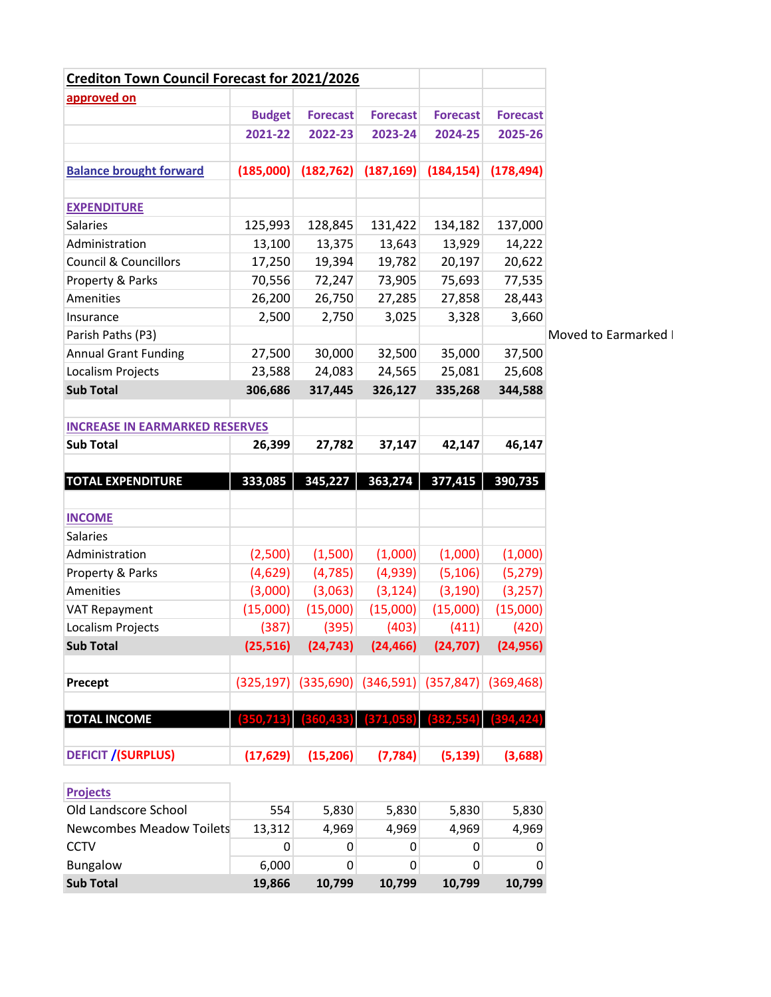| <b>Crediton Town Council Forecast for 2021/2026</b> |               |                 |                                                                  |                 |                 |                      |
|-----------------------------------------------------|---------------|-----------------|------------------------------------------------------------------|-----------------|-----------------|----------------------|
| approved on                                         |               |                 |                                                                  |                 |                 |                      |
|                                                     | <b>Budget</b> | <b>Forecast</b> | <b>Forecast</b>                                                  | <b>Forecast</b> | <b>Forecast</b> |                      |
|                                                     | 2021-22       | 2022-23         | 2023-24                                                          | 2024-25         | 2025-26         |                      |
|                                                     |               |                 |                                                                  |                 |                 |                      |
| <b>Balance brought forward</b>                      | (185,000)     | (182, 762)      | (187, 169)                                                       | (184, 154)      | (178, 494)      |                      |
|                                                     |               |                 |                                                                  |                 |                 |                      |
| <b>EXPENDITURE</b>                                  |               |                 |                                                                  |                 |                 |                      |
| <b>Salaries</b>                                     | 125,993       | 128,845         | 131,422                                                          | 134,182         | 137,000         |                      |
| Administration                                      | 13,100        | 13,375          | 13,643                                                           | 13,929          | 14,222          |                      |
| <b>Council &amp; Councillors</b>                    | 17,250        | 19,394          | 19,782                                                           | 20,197          | 20,622          |                      |
| Property & Parks                                    | 70,556        | 72,247          | 73,905                                                           | 75,693          | 77,535          |                      |
| Amenities                                           | 26,200        | 26,750          | 27,285                                                           | 27,858          | 28,443          |                      |
| Insurance                                           | 2,500         | 2,750           | 3,025                                                            | 3,328           | 3,660           |                      |
| Parish Paths (P3)                                   |               |                 |                                                                  |                 |                 | Moved to Earmarked I |
| <b>Annual Grant Funding</b>                         | 27,500        | 30,000          | 32,500                                                           | 35,000          | 37,500          |                      |
| Localism Projects                                   | 23,588        | 24,083          | 24,565                                                           | 25,081          | 25,608          |                      |
| <b>Sub Total</b>                                    | 306,686       | 317,445         | 326,127                                                          | 335,268         | 344,588         |                      |
|                                                     |               |                 |                                                                  |                 |                 |                      |
| <b>INCREASE IN EARMARKED RESERVES</b>               |               |                 |                                                                  |                 |                 |                      |
| <b>Sub Total</b>                                    | 26,399        | 27,782          | 37,147                                                           | 42,147          | 46,147          |                      |
|                                                     |               |                 |                                                                  |                 |                 |                      |
| <b>TOTAL EXPENDITURE</b>                            | 333,085       | 345,227         | 363,274                                                          | 377,415         | 390,735         |                      |
|                                                     |               |                 |                                                                  |                 |                 |                      |
| <b>INCOME</b>                                       |               |                 |                                                                  |                 |                 |                      |
| Salaries                                            |               |                 |                                                                  |                 |                 |                      |
| Administration                                      | (2,500)       | (1,500)         | (1,000)                                                          | (1,000)         | (1,000)         |                      |
| Property & Parks                                    | (4,629)       | (4, 785)        | (4,939)                                                          | (5, 106)        | (5, 279)        |                      |
| Amenities                                           | (3,000)       | (3,063)         | (3, 124)                                                         | (3, 190)        | (3, 257)        |                      |
| VAT Repayment                                       | (15,000)      | (15,000)        | (15,000)                                                         | (15,000)        | (15,000)        |                      |
| Localism Projects                                   | (387)         | (395)           | (403)                                                            | (411)           | (420)           |                      |
| <b>Sub Total</b>                                    | (25, 516)     | (24, 743)       | (24, 466)                                                        | (24, 707)       | (24, 956)       |                      |
|                                                     |               |                 |                                                                  |                 |                 |                      |
| Precept                                             |               |                 | $(325, 197)$ $(335, 690)$ $(346, 591)$ $(357, 847)$ $(369, 468)$ |                 |                 |                      |
|                                                     | 350,713       |                 | (371,058)                                                        |                 |                 |                      |
| <b>TOTAL INCOME</b>                                 |               | 360,488         |                                                                  |                 | (394, 424)      |                      |
| <b>DEFICIT /(SURPLUS)</b>                           | (17, 629)     | (15, 206)       | (7, 784)                                                         | (5, 139)        | (3,688)         |                      |
|                                                     |               |                 |                                                                  |                 |                 |                      |
| <b>Projects</b>                                     |               |                 |                                                                  |                 |                 |                      |
| Old Landscore School                                | 554           | 5,830           | 5,830                                                            | 5,830           | 5,830           |                      |
| <b>Newcombes Meadow Toilets</b>                     | 13,312        | 4,969           | 4,969                                                            | 4,969           | 4,969           |                      |

CCTV 0 0 0 0 0 Bungalow 6,000 0 0 0 0 **Sub Total 19,866 10,799 10,799 10,799 10,799**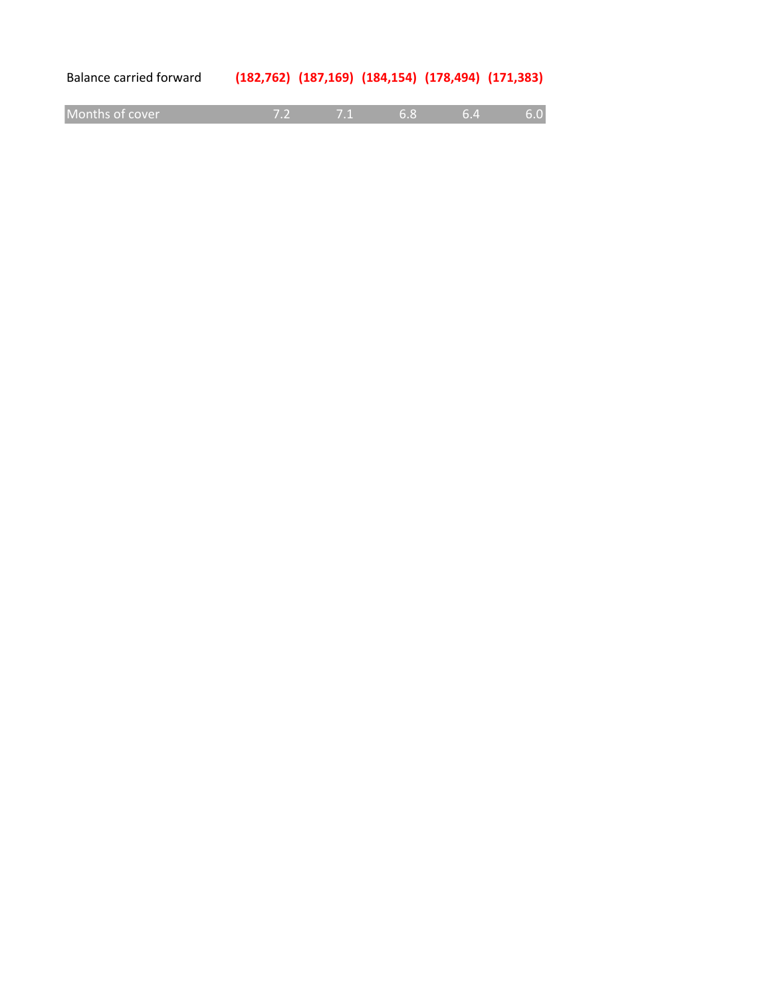| Balance carried forward | $(182, 762)$ $(187, 169)$ $(184, 154)$ $(178, 494)$ $(171, 383)$ |  |  |  |  |  |
|-------------------------|------------------------------------------------------------------|--|--|--|--|--|
|-------------------------|------------------------------------------------------------------|--|--|--|--|--|

| Months of cover |  |  |  |  |  |
|-----------------|--|--|--|--|--|
|-----------------|--|--|--|--|--|